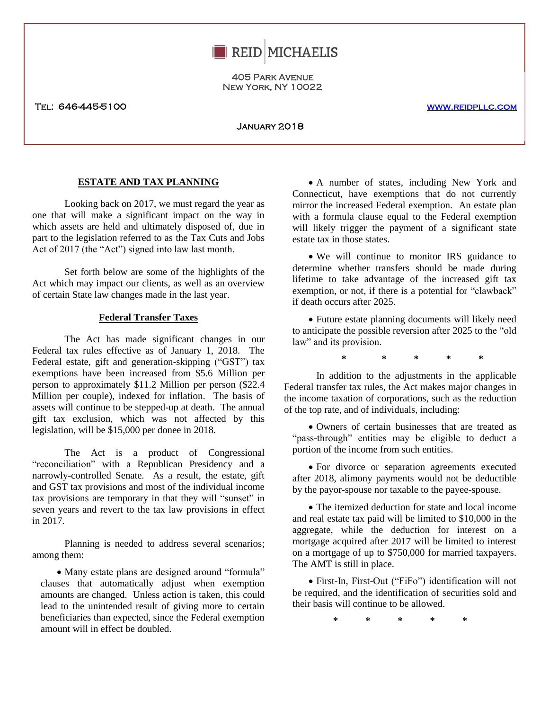

405 Park Avenue New York, NY 10022

Tel: 646-445-5100 www.reidpllc.com

January 2018

# **ESTATE AND TAX PLANNING**

one that will make a significant impact on the way in with a Looking back on 2017, we must regard the year as which assets are held and ultimately disposed of, due in part to the legislation referred to as the Tax Cuts and Jobs Act of 2017 (the "Act") signed into law last month.

Set forth below are some of the highlights of the Act which may impact our clients, as well as an overview of certain State law changes made in the last year.

### **Federal Transfer Taxes**

The Act has made significant changes in our Federal tax rules effective as of January 1, 2018. The Federal estate, gift and generation-skipping ("GST") tax exemptions have been increased from \$5.6 Million per person to approximately \$11.2 Million per person (\$22.4 Million per couple), indexed for inflation. The basis of assets will continue to be stepped-up at death. The annual gift tax exclusion, which was not affected by this legislation, will be \$15,000 per donee in 2018.

The Act is a product of Congressional "reconciliation" with a Republican Presidency and a narrowly-controlled Senate. As a result, the estate, gift and GST tax provisions and most of the individual income tax provisions are temporary in that they will "sunset" in seven years and revert to the tax law provisions in effect in 2017.

Planning is needed to address several scenarios; among them:

• Many estate plans are designed around "formula" clauses that automatically adjust when exemption amounts are changed. Unless action is taken, this could lead to the unintended result of giving more to certain beneficiaries than expected, since the Federal exemption amount will in effect be doubled.

 A number of states, including New York and Connecticut, have exemptions that do not currently mirror the increased Federal exemption. An estate plan with a formula clause equal to the Federal exemption will likely trigger the payment of a significant state estate tax in those states.

 We will continue to monitor IRS guidance to determine whether transfers should be made during lifetime to take advantage of the increased gift tax exemption, or not, if there is a potential for "clawback" if death occurs after 2025.

 Future estate planning documents will likely need to anticipate the possible reversion after 2025 to the "old law" and its provision.

**\* \* \* \* \***

In addition to the adjustments in the applicable Federal transfer tax rules, the Act makes major changes in the income taxation of corporations, such as the reduction of the top rate, and of individuals, including:

 Owners of certain businesses that are treated as "pass-through" entities may be eligible to deduct a portion of the income from such entities.

 For divorce or separation agreements executed after 2018, alimony payments would not be deductible by the payor-spouse nor taxable to the payee-spouse.

• The itemized deduction for state and local income and real estate tax paid will be limited to \$10,000 in the aggregate, while the deduction for interest on a mortgage acquired after 2017 will be limited to interest on a mortgage of up to \$750,000 for married taxpayers. The AMT is still in place.

 First-In, First-Out ("FiFo") identification will not be required, and the identification of securities sold and their basis will continue to be allowed.

**\* \* \* \* \***